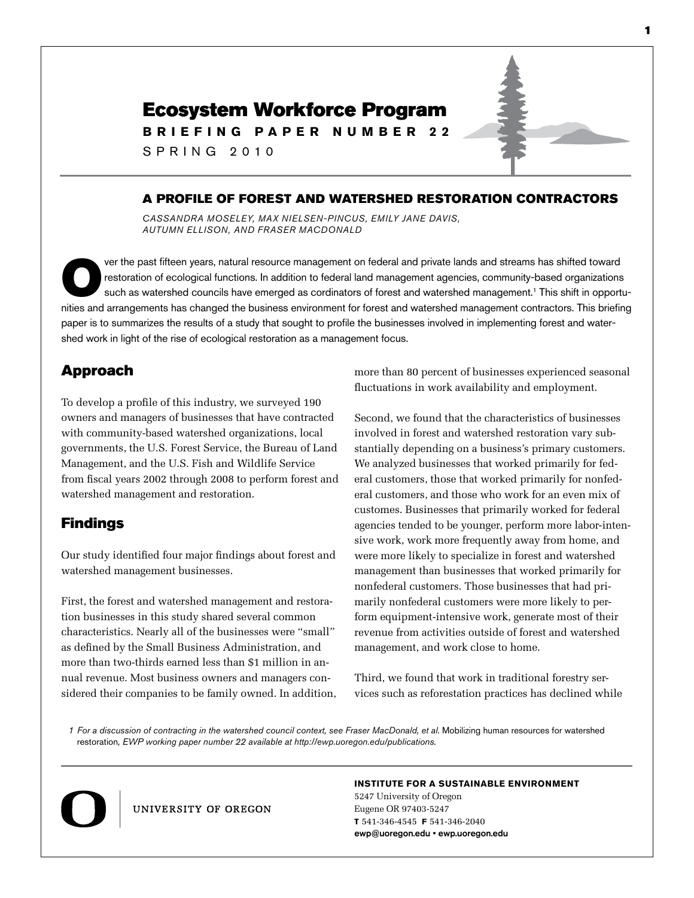# Ecosystem Workforce Program

**B r i e f i n g P a p e r NUMBER 2 2**

S P RING 2 0 1 0

# A Profile of Forest and Watershed Restoration Contractors

*Cassandra Moseley, Max Nielsen-Pincus, Emily Jane Davis, Autumn Ellison, and Fraser MacDonald*

ver the past fifteen years, natural resource management on federal and private lands and streams has shifted toward<br>restoration of ecological functions. In addition to federal land management agencies, community-based orga restoration of ecological functions. In addition to federal land management agencies, community-based organizations nities and arrangements has changed the business environment for forest and watershed management contractors. This briefing paper is to summarizes the results of a study that sought to profile the businesses involved in implementing forest and watershed work in light of the rise of ecological restoration as a management focus.

# Approach

To develop a profile of this industry, we surveyed 190 owners and managers of businesses that have contracted with community-based watershed organizations, local governments, the U.S. Forest Service, the Bureau of Land Management, and the U.S. Fish and Wildlife Service from fiscal years 2002 through 2008 to perform forest and watershed management and restoration.

### Findings

Our study identified four major findings about forest and watershed management businesses.

First, the forest and watershed management and restoration businesses in this study shared several common characteristics. Nearly all of the businesses were "small" as defined by the Small Business Administration, and more than two-thirds earned less than \$1 million in annual revenue. Most business owners and managers considered their companies to be family owned. In addition, more than 80 percent of businesses experienced seasonal fluctuations in work availability and employment.

Second, we found that the characteristics of businesses involved in forest and watershed restoration vary substantially depending on a business's primary customers. We analyzed businesses that worked primarily for federal customers, those that worked primarily for nonfederal customers, and those who work for an even mix of customes. Businesses that primarily worked for federal agencies tended to be younger, perform more labor-intensive work, work more frequently away from home, and were more likely to specialize in forest and watershed management than businesses that worked primarily for nonfederal customers. Those businesses that had primarily nonfederal customers were more likely to perform equipment-intensive work, generate most of their revenue from activities outside of forest and watershed management, and work close to home.

Third, we found that work in traditional forestry services such as reforestation practices has declined while

1 For a discussion of contracting in the watershed council context, see Fraser MacDonald, et al. Mobilizing human resources for watershed restoration*, EWP working paper number 22 available at http://ewp.uoregon.edu/publications.*



UNIVERSITY OF OREGON

#### **Institute for a Sustainable Environment**

5247 University of Oregon Eugene OR 97403-5247 **T** 541-346-4545 **F** 541-346-2040 ewp@uoregon.edu • ewp.uoregon.edu